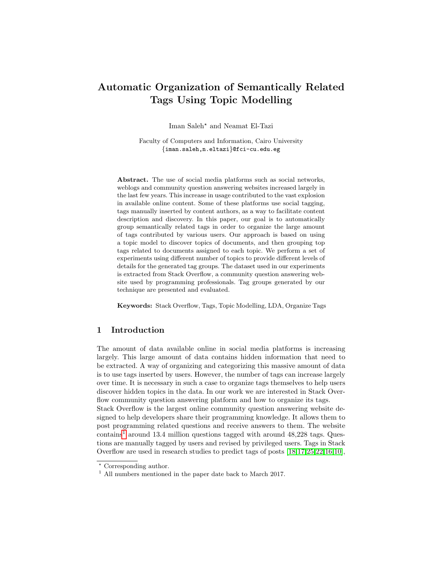# Automatic Organization of Semantically Related Tags Using Topic Modelling

Iman Saleh? and Neamat El-Tazi

Faculty of Computers and Information, Cairo University {iman.saleh,n.eltazi}@fci-cu.edu.eg

Abstract. The use of social media platforms such as social networks, weblogs and community question answering websites increased largely in the last few years. This increase in usage contributed to the vast explosion in available online content. Some of these platforms use social tagging, tags manually inserted by content authors, as a way to facilitate content description and discovery. In this paper, our goal is to automatically group semantically related tags in order to organize the large amount of tags contributed by various users. Our approach is based on using a topic model to discover topics of documents, and then grouping top tags related to documents assigned to each topic. We perform a set of experiments using different number of topics to provide different levels of details for the generated tag groups. The dataset used in our experiments is extracted from Stack Overflow, a community question answering website used by programming professionals. Tag groups generated by our technique are presented and evaluated.

Keywords: Stack Overflow, Tags, Topic Modelling, LDA, Organize Tags

# 1 Introduction

The amount of data available online in social media platforms is increasing largely. This large amount of data contains hidden information that need to be extracted. A way of organizing and categorizing this massive amount of data is to use tags inserted by users. However, the number of tags can increase largely over time. It is necessary in such a case to organize tags themselves to help users discover hidden topics in the data. In our work we are interested in Stack Overflow community question answering platform and how to organize its tags.

Stack Overflow is the largest online community question answering website designed to help developers share their programming knowledge. It allows them to post programming related questions and receive answers to them. The website  $\rm{contains}^1$  $\rm{contains}^1$  around 13.4 million questions tagged with around 48,228 tags. Questions are manually tagged by users and revised by privileged users. Tags in Stack Overflow are used in research studies to predict tags of posts [\[18](#page-9-0)[,17,](#page-9-1)[25,](#page-9-2)[22,](#page-9-3)[16,](#page-9-4)[10\]](#page-9-5),

<sup>?</sup> Corresponding author.

<span id="page-0-0"></span><sup>&</sup>lt;sup>1</sup> All numbers mentioned in the paper date back to March 2017.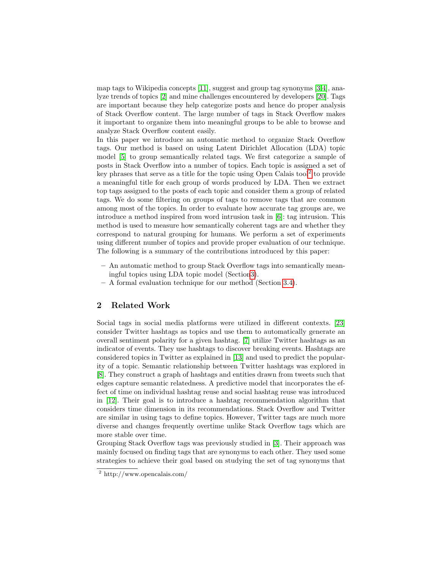map tags to Wikipedia concepts [\[11\]](#page-9-6), suggest and group tag synonyms [\[3,](#page-8-0)[4\]](#page-8-1), analyze trends of topics [\[2\]](#page-8-2) and mine challenges encountered by developers [\[20\]](#page-9-7). Tags are important because they help categorize posts and hence do proper analysis of Stack Overflow content. The large number of tags in Stack Overflow makes it important to organize them into meaningful groups to be able to browse and analyze Stack Overflow content easily.

In this paper we introduce an automatic method to organize Stack Overflow tags. Our method is based on using Latent Dirichlet Allocation (LDA) topic model [\[5\]](#page-8-3) to group semantically related tags. We first categorize a sample of posts in Stack Overflow into a number of topics. Each topic is assigned a set of key phrases that serve as a title for the topic using Open Calais tool<sup>[2](#page-1-0)</sup> to provide a meaningful title for each group of words produced by LDA. Then we extract top tags assigned to the posts of each topic and consider them a group of related tags. We do some filtering on groups of tags to remove tags that are common among most of the topics. In order to evaluate how accurate tag groups are, we introduce a method inspired from word intrusion task in [\[6\]](#page-8-4): tag intrusion. This method is used to measure how semantically coherent tags are and whether they correspond to natural grouping for humans. We perform a set of experiments using different number of topics and provide proper evaluation of our technique. The following is a summary of the contributions introduced by this paper:

- An automatic method to group Stack Overflow tags into semantically meaningful topics using LDA topic model (Sectio[n3\)](#page-2-0).
- A formal evaluation technique for our method (Section [3.4\)](#page-5-0).

# 2 Related Work

Social tags in social media platforms were utilized in different contexts. [\[23\]](#page-9-8) consider Twitter hashtags as topics and use them to automatically generate an overall sentiment polarity for a given hashtag. [\[7\]](#page-8-5) utilize Twitter hashtags as an indicator of events. They use hashtags to discover breaking events. Hashtags are considered topics in Twitter as explained in [\[13\]](#page-9-9) and used to predict the popularity of a topic. Semantic relationship between Twitter hashtags was explored in [\[8\]](#page-8-6). They construct a graph of hashtags and entities drawn from tweets such that edges capture semantic relatedness. A predictive model that incorporates the effect of time on individual hashtag reuse and social hashtag reuse was introduced in [\[12\]](#page-9-10). Their goal is to introduce a hashtag recommendation algorithm that considers time dimension in its recommendations. Stack Overflow and Twitter are similar in using tags to define topics. However, Twitter tags are much more diverse and changes frequently overtime unlike Stack Overflow tags which are more stable over time.

Grouping Stack Overflow tags was previously studied in [\[3\]](#page-8-0). Their approach was mainly focused on finding tags that are synonyms to each other. They used some strategies to achieve their goal based on studying the set of tag synonyms that

<span id="page-1-0"></span><sup>2</sup> http://www.opencalais.com/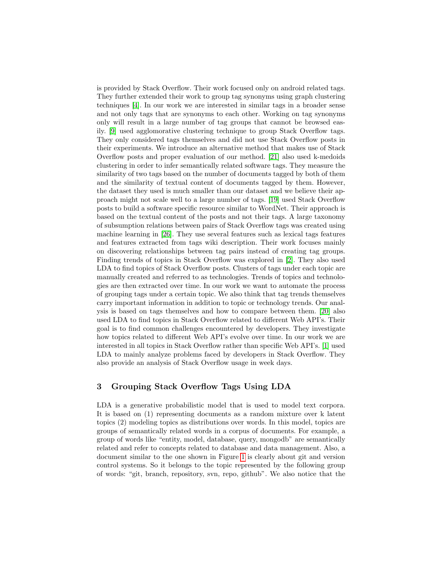is provided by Stack Overflow. Their work focused only on android related tags. They further extended their work to group tag synonyms using graph clustering techniques [\[4\]](#page-8-1). In our work we are interested in similar tags in a broader sense and not only tags that are synonyms to each other. Working on tag synonyms only will result in a large number of tag groups that cannot be browsed easily. [\[9\]](#page-8-7) used agglomorative clustering technique to group Stack Overflow tags. They only considered tags themselves and did not use Stack Overflow posts in their experiments. We introduce an alternative method that makes use of Stack Overflow posts and proper evaluation of our method. [\[21\]](#page-9-11) also used k-medoids clustering in order to infer semantically related software tags. They measure the similarity of two tags based on the number of documents tagged by both of them and the similarity of textual content of documents tagged by them. However, the dataset they used is much smaller than our dataset and we believe their approach might not scale well to a large number of tags. [\[19\]](#page-9-12) used Stack Overflow posts to build a software specific resource similar to WordNet. Their approach is based on the textual content of the posts and not their tags. A large taxonomy of subsumption relations between pairs of Stack Overflow tags was created using machine learning in [\[26\]](#page-9-13). They use several features such as lexical tags features and features extracted from tags wiki description. Their work focuses mainly on discovering relationships between tag pairs instead of creating tag groups. Finding trends of topics in Stack Overflow was explored in [\[2\]](#page-8-2). They also used LDA to find topics of Stack Overflow posts. Clusters of tags under each topic are manually created and referred to as technologies. Trends of topics and technologies are then extracted over time. In our work we want to automate the process of grouping tags under a certain topic. We also think that tag trends themselves carry important information in addition to topic or technology trends. Our analysis is based on tags themselves and how to compare between them. [\[20\]](#page-9-7) also used LDA to find topics in Stack Overflow related to different Web API's. Their goal is to find common challenges encountered by developers. They investigate how topics related to different Web API's evolve over time. In our work we are interested in all topics in Stack Overflow rather than specific Web API's. [\[1\]](#page-8-8) used LDA to mainly analyze problems faced by developers in Stack Overflow. They also provide an analysis of Stack Overflow usage in week days.

# <span id="page-2-0"></span>3 Grouping Stack Overflow Tags Using LDA

LDA is a generative probabilistic model that is used to model text corpora. It is based on (1) representing documents as a random mixture over k latent topics (2) modeling topics as distributions over words. In this model, topics are groups of semantically related words in a corpus of documents. For example, a group of words like "entity, model, database, query, mongodb" are semantically related and refer to concepts related to database and data management. Also, a document similar to the one shown in Figure [1](#page-3-0) is clearly about git and version control systems. So it belongs to the topic represented by the following group of words: "git, branch, repository, svn, repo, github". We also notice that the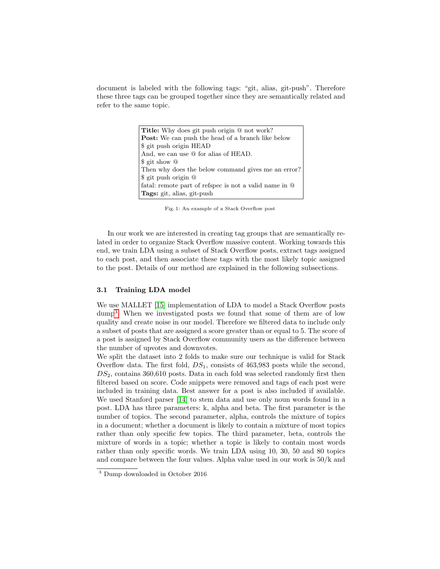<span id="page-3-0"></span>document is labeled with the following tags: "git, alias, git-push". Therefore these three tags can be grouped together since they are semantically related and refer to the same topic.

> Title: Why does git push origin @ not work? Post: We can push the head of a branch like below \$ git push origin HEAD And, we can use @ for alias of HEAD. \$ git show @ Then why does the below command gives me an error? \$ git push origin @ fatal: remote part of refspec is not a valid name in @ Tags: git, alias, git-push

Fig. 1: An example of a Stack Overflow post

In our work we are interested in creating tag groups that are semantically related in order to organize Stack Overflow massive content. Working towards this end, we train LDA using a subset of Stack Overflow posts, extract tags assigned to each post, and then associate these tags with the most likely topic assigned to the post. Details of our method are explained in the following subsections.

#### 3.1 Training LDA model

We use MALLET [\[15\]](#page-9-14) implementation of LDA to model a Stack Overflow posts dump[3](#page-3-1) . When we investigated posts we found that some of them are of low quality and create noise in our model. Therefore we filtered data to include only a subset of posts that are assigned a score greater than or equal to 5. The score of a post is assigned by Stack Overflow community users as the difference between the number of upvotes and downvotes.

We split the dataset into 2 folds to make sure our technique is valid for Stack Overflow data. The first fold,  $DS_1$ , consists of 463,983 posts while the second,  $DS<sub>2</sub>$ , contains 360,610 posts. Data in each fold was selected randomly first then filtered based on score. Code snippets were removed and tags of each post were included in training data. Best answer for a post is also included if available. We used Stanford parser [\[14\]](#page-9-15) to stem data and use only noun words found in a post. LDA has three parameters: k, alpha and beta. The first parameter is the number of topics. The second parameter, alpha, controls the mixture of topics in a document; whether a document is likely to contain a mixture of most topics rather than only specific few topics. The third parameter, beta, controls the mixture of words in a topic; whether a topic is likely to contain most words rather than only specific words. We train LDA using 10, 30, 50 and 80 topics and compare between the four values. Alpha value used in our work is 50/k and

<span id="page-3-1"></span><sup>3</sup> Dump downloaded in October 2016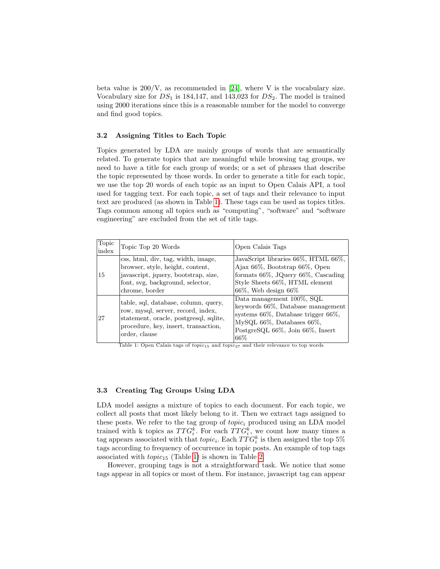beta value is  $200/V$ , as recommended in [\[24\]](#page-9-16), where V is the vocabulary size. Vocabulary size for  $DS_1$  is 184,147, and 143,023 for  $DS_2$ . The model is trained using 2000 iterations since this is a reasonable number for the model to converge and find good topics.

#### 3.2 Assigning Titles to Each Topic

Topics generated by LDA are mainly groups of words that are semantically related. To generate topics that are meaningful while browsing tag groups, we need to have a title for each group of words; or a set of phrases that describe the topic represented by those words. In order to generate a title for each topic, we use the top 20 words of each topic as an input to Open Calais API, a tool used for tagging text. For each topic, a set of tags and their relevance to input text are produced (as shown in Table [1\)](#page-4-0). These tags can be used as topics titles. Tags common among all topics such as "computing", "software" and "software engineering" are excluded from the set of title tags.

<span id="page-4-0"></span>

| Topic<br>index | Topic Top 20 Words                                                                                                                                                            | Open Calais Tags                                                                                                                                                                       |
|----------------|-------------------------------------------------------------------------------------------------------------------------------------------------------------------------------|----------------------------------------------------------------------------------------------------------------------------------------------------------------------------------------|
| 15             | css, html, div, tag, width, image,<br>browser, style, height, content,<br>javascript, jquery, bootstrap, size,<br>font, svg, background, selector,<br>chrome, border          | JavaScript libraries 66%, HTML 66%,<br>Ajax 66%, Bootstrap 66%, Open<br>formats $66\%$ , JQuery $66\%$ , Cascading<br>Style Sheets 66%, HTML element<br>$66\%$ , Web design $66\%$     |
| 27             | table, sql, database, column, query,<br>row, mysql, server, record, index,<br>statement, oracle, postgresql, sqlite,<br>procedure, key, insert, transaction,<br>order, clause | Data management 100%, SQL<br>keywords 66%, Database management<br>systems $66\%$ , Database trigger $66\%$ ,<br>MySQL 66%, Databases 66%,<br>PostgreSQL 66\%, Join 66\%, Insert<br>66% |

Table 1: Open Calais tags of *topic*<sub>15</sub> and *topic*<sub>27</sub> and their relevance to top words

#### 3.3 Creating Tag Groups Using LDA

LDA model assigns a mixture of topics to each document. For each topic, we collect all posts that most likely belong to it. Then we extract tags assigned to these posts. We refer to the tag group of  $topic_i$  produced using an LDA model trained with k topics as  $TTG_i^k$ . For each  $TTG_i^k$ , we count how many times a tag appears associated with that  $topic_i$ . Each  $TTG_i^k$  is then assigned the top 5% tags according to frequency of occurrence in topic posts. An example of top tags associated with  $topic_{15}$  (Table [1\)](#page-4-0) is shown in Table [2.](#page-5-1)

However, grouping tags is not a straightforward task. We notice that some tags appear in all topics or most of them. For instance, javascript tag can appear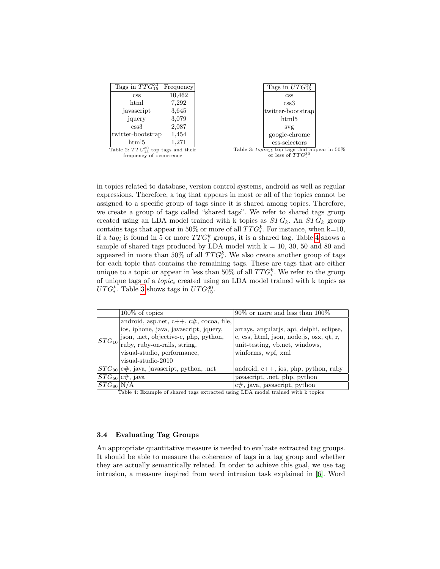<span id="page-5-1"></span>

| Tags in $TT\overline{G_{15}^{30}}$          | Frequency | Tags in $UTG_{15}^{30}$                           |
|---------------------------------------------|-----------|---------------------------------------------------|
| $\mathrm{CSS}$                              | 10,462    | <b>CSS</b>                                        |
| html                                        | 7,292     | $\cos\!3$                                         |
| javascript                                  | 3,645     | twitter-bootstrap                                 |
| jquery                                      | 3,079     | html5                                             |
| $\cos 3$                                    | 2,087     | SVg                                               |
| twitter-bootstrap                           | 1,454     | google-chrome                                     |
| html5                                       | 1,271     | css-selectors                                     |
| Table 2: $TTG_{15}^{30}$ top tags and their |           | Table 3: $topic_{15}$ top tags that appear in 50% |
| frequency of occurrence                     |           | or less of $TTG_i^{30}$                           |

in topics related to database, version control systems, android as well as regular expressions. Therefore, a tag that appears in most or all of the topics cannot be assigned to a specific group of tags since it is shared among topics. Therefore, we create a group of tags called "shared tags". We refer to shared tags group created using an LDA model trained with k topics as  $STG_k$ . An  $STG_k$  group contains tags that appear in 50% or more of all  $TTG_i^k$ . For instance, when k=10, if a  $tag_i$  is found in 5 or more  $TTG_i^k$  groups, it is a shared tag. Table [4](#page-5-2) shows a sample of shared tags produced by LDA model with  $k = 10, 30, 50$  and 80 and appeared in more than 50% of all  $TTG_i^k$ . We also create another group of tags for each topic that contains the remaining tags. These are tags that are either unique to a topic or appear in less than 50% of all  $TTG_i^k$ . We refer to the group of unique tags of a  $topic_i$  created using an LDA model trained with k topics as  $UTG_i^k$ . Table [3](#page-5-1) shows tags in  $UTG_{15}^{30}$ .

<span id="page-5-2"></span>

|                      | $100\%$ of topics                                                                         | $90\%$ or more and less than $100\%$     |
|----------------------|-------------------------------------------------------------------------------------------|------------------------------------------|
| $ STG_{10} ^{\circ}$ | android, asp.net, $c++$ , $c\#$ , cocoa, file,                                            |                                          |
|                      | ios, iphone, java, javascript, jquery,                                                    | arrays, angularjs, api, delphi, eclipse, |
|                      | $\left  \text{json}, \text{.net}, \text{objective-c}, \text{php}, \text{python}, \right.$ | c, css, html, json, node.js, osx, qt, r, |
|                      | ruby, ruby-on-rails, string,                                                              | unit-testing, vb.net, windows,           |
|                      | visual-studio, performance,                                                               | winforms, wpf, xml                       |
|                      | visual-studio-2010                                                                        |                                          |
|                      | $STG_{30}$ $c\#$ , java, javascript, python, .net                                         | android, $c++$ , ios, php, python, ruby  |
|                      | $ STG_{50} c\#,$ java                                                                     | javascript, .net, php, python            |
| $STG_{80}$ N/A       |                                                                                           | $c\#$ , java, javascript, python         |

Table 4: Example of shared tags extracted using LDA model trained with k topics

## <span id="page-5-0"></span>3.4 Evaluating Tag Groups

An appropriate quantitative measure is needed to evaluate extracted tag groups. It should be able to measure the coherence of tags in a tag group and whether they are actually semantically related. In order to achieve this goal, we use tag intrusion, a measure inspired from word intrusion task explained in [\[6\]](#page-8-4). Word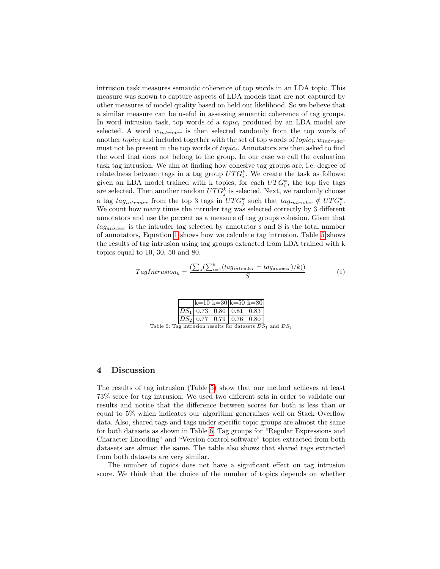intrusion task measures semantic coherence of top words in an LDA topic. This measure was shown to capture aspects of LDA models that are not captured by other measures of model quality based on held out likelihood. So we believe that a similar measure can be useful in assessing semantic coherence of tag groups. In word intrusion task, top words of a  $topic_i$  produced by an LDA model are selected. A word  $w_{intruder}$  is then selected randomly from the top words of another  $topic_j$  and included together with the set of top words of  $topic_i$ .  $w_{intruder}$ must not be present in the top words of  $topic_i$ . Annotators are then asked to find the word that does not belong to the group. In our case we call the evaluation task tag intrusion. We aim at finding how cohesive tag groups are, i.e. degree of relatedness between tags in a tag group  $UTG_i^k$ . We create the task as follows: given an LDA model trained with k topics, for each  $UTG_i^k$ , the top five tags are selected. Then another random  $UTG_j^k$  is selected. Next, we randomly choose a tag tag<sub>intruder</sub> from the top 3 tags in  $UTG_j^k$  such that tag<sub>intruder</sub>  $\notin UTG_i^k$ . We count how many times the intruder tag was selected correctly by 3 different annotators and use the percent as a measure of tag groups cohesion. Given that  $tag_{answer}$  is the intruder tag selected by annotator s and S is the total number of annotators, Equation [1](#page-6-0) shows how we calculate tag intrusion. Table [5](#page-6-1) shows the results of tag intrusion using tag groups extracted from LDA trained with k topics equal to 10, 30, 50 and 80.

<span id="page-6-1"></span><span id="page-6-0"></span>
$$
TagIntrusion_k = \frac{\left(\sum_{s}\left(\sum_{i=1}^{k}(tag_{intruder} = tag_{answer})/k\right)\right)}{S}
$$
\n(1)

|  |                                    |  |  | $ k=10 k=30 k=50 k=80 $ |
|--|------------------------------------|--|--|-------------------------|
|  | $ DS_1 $ 0.73   0.80   0.81   0.83 |  |  |                         |
|  | $ DS_2 $ 0.77   0.79   0.76   0.80 |  |  |                         |
|  |                                    |  |  |                         |

Table 5: Tag intrusion results for datasets  $DS_1$  and  $DS_2$ 

## 4 Discussion

The results of tag intrusion (Table [5\)](#page-6-1) show that our method achieves at least 73% score for tag intrusion. We used two different sets in order to validate our results and notice that the difference between scores for both is less than or equal to 5% which indicates our algorithm generalizes well on Stack Overflow data. Also, shared tags and tags under specific topic groups are almost the same for both datasets as shown in Table [6.](#page-7-0) Tag groups for "Regular Expressions and Character Encoding" and "Version control software" topics extracted from both datasets are almost the same. The table also shows that shared tags extracted from both datasets are very similar.

The number of topics does not have a significant effect on tag intrusion score. We think that the choice of the number of topics depends on whether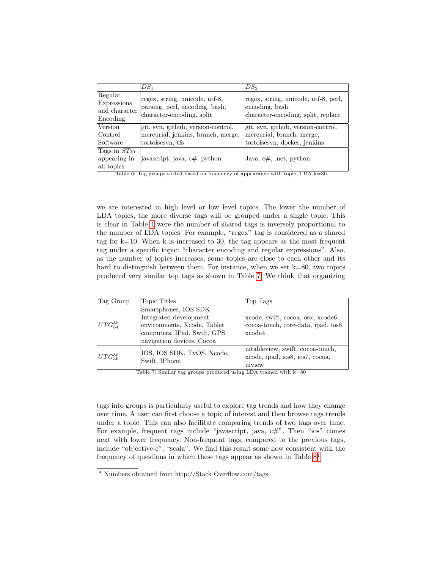<span id="page-7-0"></span>

|                                                     | $DS_1$                                                                                        | $DS_2$                                                                                        |
|-----------------------------------------------------|-----------------------------------------------------------------------------------------------|-----------------------------------------------------------------------------------------------|
| Regular<br>Expressions<br>and character<br>Encoding | regex, string, unicode, utf-8,<br>parsing, perl, encoding, bash,<br>character-encoding, split | regex, string, unicode, utf-8, perl,<br>encoding, bash,<br>character-encoding, split, replace |
| Version<br>Control                                  | git, svn, github, version-control,<br>mercurial, jenkins, branch, merge,                      | git, syn, github, version-control,<br>mercurial, branch, merge,                               |
| Software                                            | tortoises vn, tfs                                                                             | tortoisesyn, docker, jenkins                                                                  |
| Tags in $ST_{30}$<br>appearing in<br>all topics     | javascript, java, $c\#$ , python                                                              | Java, $c\#$ , .net, python                                                                    |

Table 6: Tag groups sorted based on frequency of appearance with topic, LDA  $k=30$ 

we are interested in high level or low level topics. The lower the number of LDA topics, the more diverse tags will be grouped under a single topic. This is clear in Table [4](#page-5-2) were the number of shared tags is inversely proportional to the number of LDA topics. For example, "regex" tag is considered as a shared tag for  $k=10$ . When k is increased to 30, the tag appears as the most frequent tag under a specific topic: "character encoding and regular expressions". Also, as the number of topics increases, some topics are close to each other and its hard to distinguish between them. For instance, when we set  $k=80$ , two topics produced very similar top tags as shown in Table [7.](#page-7-1) We think that organizing

<span id="page-7-1"></span>

| Tag Group         | Topic Titles                                                                                                                               | Top Tags                                                                           |
|-------------------|--------------------------------------------------------------------------------------------------------------------------------------------|------------------------------------------------------------------------------------|
| $ UTG_{64}^{80} $ | Smartphones, IOS SDK,<br>Integrated development<br>environments, Xcode, Tablet<br>computers, IPad, Swift, GPS<br>navigation devices, Cocoa | xcode, swift, cocoa, osx, xcode6,<br>cocoa-touch, core-data, ipad, ios8,<br>xcode4 |
| $ UTG_{36}^{80} $ | IOS, IOS SDK, TvOS, Xcode,<br>Swift, IPhone                                                                                                | uitableview, swift, cocoa-touch,<br>xcode, ipad, ios8, ios7, cocoa,<br>uiview      |

Table 7: Similar tag groups produced using LDA trained with k=80

tags into groups is particularly useful to explore tag trends and how they change over time. A user can first choose a topic of interest and then browse tags trends under a topic. This can also facilitate comparing trends of two tags over time. For example, frequent tags include "javascript, java,  $c\#$ ". Then "ios" comes next with lower frequency. Non-frequent tags, compared to the previous tags, include "objective-c", "scala". We find this result some how consistent with the frequency of questions in which these tags appear as shown in Table  $8<sup>4</sup>$  $8<sup>4</sup>$  $8<sup>4</sup>$ .

<span id="page-7-2"></span><sup>4</sup> Numbers obtained from http://Stack Overflow.com/tags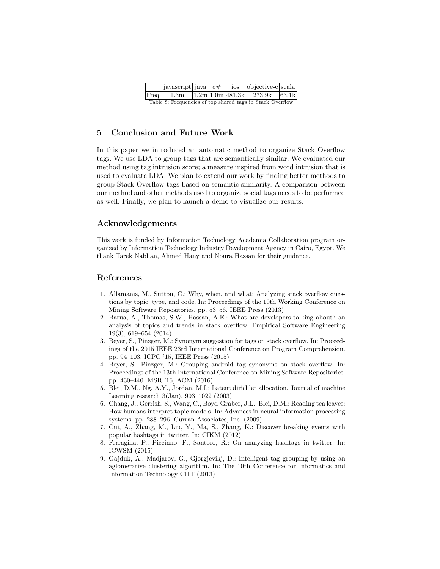<span id="page-8-9"></span>

|                                                           | $\vert$ iavascript $\vert$ iava $\vert$ c# |  |  | ios | $ _{\text{objective-c}} _{\text{scalar}} $ |  |
|-----------------------------------------------------------|--------------------------------------------|--|--|-----|--------------------------------------------|--|
| Freq.                                                     | 1.3 <sub>m</sub>                           |  |  |     | $ 1.2m 1.0m 481.3k$ 273.9k 63.1k           |  |
| Table 8: Frequencies of top shared tags in Stack Overflow |                                            |  |  |     |                                            |  |

# 5 Conclusion and Future Work

In this paper we introduced an automatic method to organize Stack Overflow tags. We use LDA to group tags that are semantically similar. We evaluated our method using tag intrusion score; a measure inspired from word intrusion that is used to evaluate LDA. We plan to extend our work by finding better methods to group Stack Overflow tags based on semantic similarity. A comparison between our method and other methods used to organize social tags needs to be performed as well. Finally, we plan to launch a demo to visualize our results.

# Acknowledgements

This work is funded by Information Technology Academia Collaboration program organized by Information Technology Industry Development Agency in Cairo, Egypt. We thank Tarek Nabhan, Ahmed Hany and Noura Hassan for their guidance.

# References

- <span id="page-8-8"></span>1. Allamanis, M., Sutton, C.: Why, when, and what: Analyzing stack overflow questions by topic, type, and code. In: Proceedings of the 10th Working Conference on Mining Software Repositories. pp. 53–56. IEEE Press (2013)
- <span id="page-8-2"></span>2. Barua, A., Thomas, S.W., Hassan, A.E.: What are developers talking about? an analysis of topics and trends in stack overflow. Empirical Software Engineering 19(3), 619–654 (2014)
- <span id="page-8-0"></span>3. Beyer, S., Pinzger, M.: Synonym suggestion for tags on stack overflow. In: Proceedings of the 2015 IEEE 23rd International Conference on Program Comprehension. pp. 94–103. ICPC '15, IEEE Press (2015)
- <span id="page-8-1"></span>4. Beyer, S., Pinzger, M.: Grouping android tag synonyms on stack overflow. In: Proceedings of the 13th International Conference on Mining Software Repositories. pp. 430–440. MSR '16, ACM (2016)
- <span id="page-8-3"></span>5. Blei, D.M., Ng, A.Y., Jordan, M.I.: Latent dirichlet allocation. Journal of machine Learning research 3(Jan), 993–1022 (2003)
- <span id="page-8-4"></span>6. Chang, J., Gerrish, S., Wang, C., Boyd-Graber, J.L., Blei, D.M.: Reading tea leaves: How humans interpret topic models. In: Advances in neural information processing systems. pp. 288–296. Curran Associates, Inc. (2009)
- <span id="page-8-5"></span>7. Cui, A., Zhang, M., Liu, Y., Ma, S., Zhang, K.: Discover breaking events with popular hashtags in twitter. In: CIKM (2012)
- <span id="page-8-6"></span>8. Ferragina, P., Piccinno, F., Santoro, R.: On analyzing hashtags in twitter. In: ICWSM (2015)
- <span id="page-8-7"></span>9. Gajduk, A., Madjarov, G., Gjorgjevikj, D.: Intelligent tag grouping by using an aglomerative clustering algorithm. In: The 10th Conference for Informatics and Information Technology CIIT (2013)